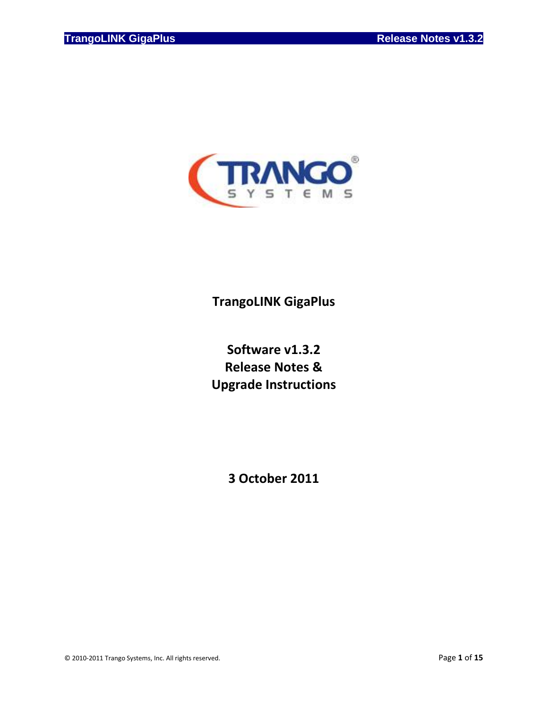

# **TrangoLINK GigaPlus**

# **Software v1.3.2 Release Notes & Upgrade Instructions**

**3 October 2011**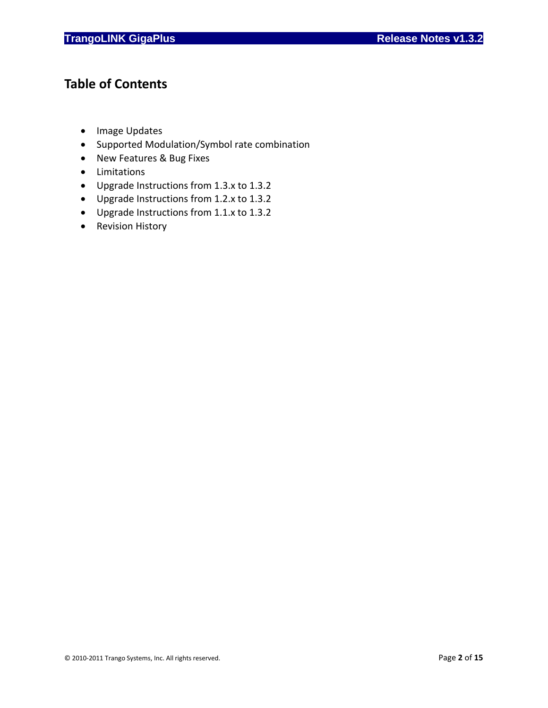# **Table of Contents**

- Image Updates
- Supported Modulation/Symbol rate combination
- New Features & Bug Fixes
- Limitations
- Upgrade Instructions from 1.3.x to 1.3.2
- Upgrade Instructions from 1.2.x to 1.3.2
- Upgrade Instructions from 1.1.x to 1.3.2
- Revision History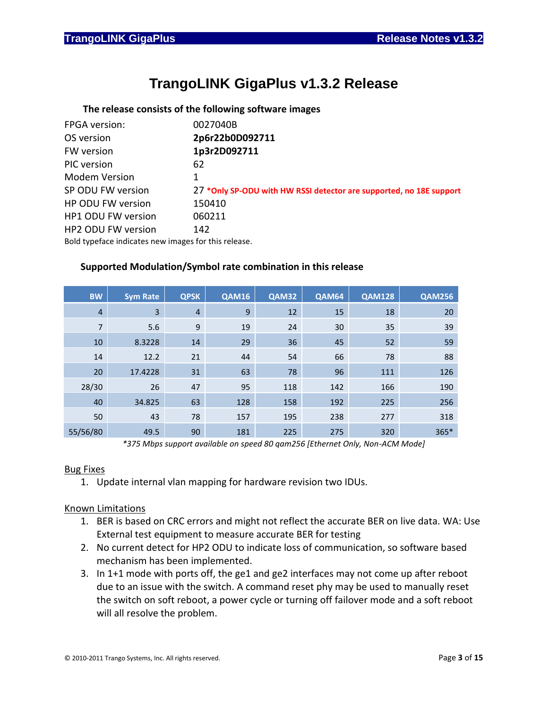# **TrangoLINK GigaPlus v1.3.2 Release**

### **The release consists of the following software images**

| FPGA version:                                       | 0027040B                                                            |
|-----------------------------------------------------|---------------------------------------------------------------------|
| OS version                                          | 2p6r22b0D092711                                                     |
| FW version                                          | 1p3r2D092711                                                        |
| PIC version                                         | 62                                                                  |
| <b>Modem Version</b>                                | 1                                                                   |
| SP ODU FW version                                   | 27 *Only SP-ODU with HW RSSI detector are supported, no 18E support |
| HP ODU FW version                                   | 150410                                                              |
| <b>HP1 ODU FW version</b>                           | 060211                                                              |
| <b>HP2 ODU FW version</b>                           | 142                                                                 |
| Bold tunoface indicates now images for this release |                                                                     |

Bold typeface indicates new images for this release.

### **Supported Modulation/Symbol rate combination in this release**

| <b>BW</b>      | <b>Sym Rate</b> | <b>QPSK</b>    | <b>QAM16</b> | QAM32 | <b>QAM64</b> | <b>QAM128</b> | <b>QAM256</b> |
|----------------|-----------------|----------------|--------------|-------|--------------|---------------|---------------|
| $\overline{4}$ | 3               | $\overline{4}$ | 9            | 12    | 15           | 18            | 20            |
| $\overline{7}$ | 5.6             | 9              | 19           | 24    | 30           | 35            | 39            |
| 10             | 8.3228          | 14             | 29           | 36    | 45           | 52            | 59            |
| 14             | 12.2            | 21             | 44           | 54    | 66           | 78            | 88            |
| 20             | 17.4228         | 31             | 63           | 78    | 96           | 111           | 126           |
| 28/30          | 26              | 47             | 95           | 118   | 142          | 166           | 190           |
| 40             | 34.825          | 63             | 128          | 158   | 192          | 225           | 256           |
| 50             | 43              | 78             | 157          | 195   | 238          | 277           | 318           |
| 55/56/80       | 49.5            | 90             | 181          | 225   | 275          | 320           | $365*$        |

*\*375 Mbps support available on speed 80 qam256 [Ethernet Only, Non-ACM Mode]*

### Bug Fixes

1. Update internal vlan mapping for hardware revision two IDUs.

### Known Limitations

- 1. BER is based on CRC errors and might not reflect the accurate BER on live data. WA: Use External test equipment to measure accurate BER for testing
- 2. No current detect for HP2 ODU to indicate loss of communication, so software based mechanism has been implemented.
- 3. In 1+1 mode with ports off, the ge1 and ge2 interfaces may not come up after reboot due to an issue with the switch. A command reset phy may be used to manually reset the switch on soft reboot, a power cycle or turning off failover mode and a soft reboot will all resolve the problem.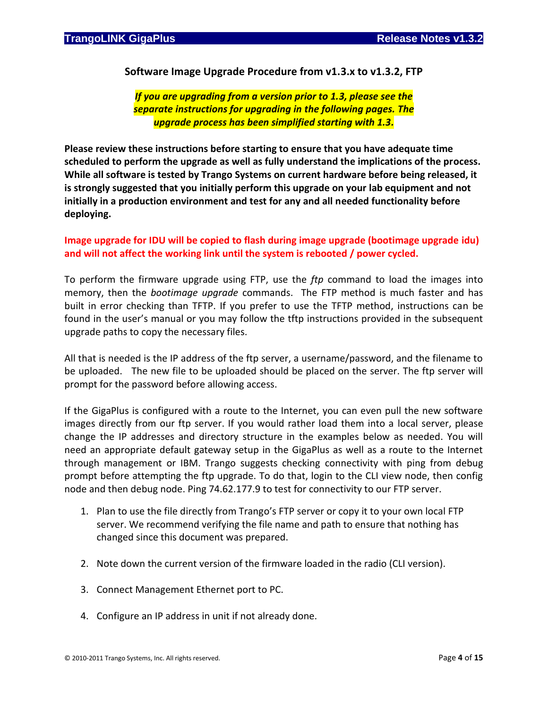**Software Image Upgrade Procedure from v1.3.x to v1.3.2, FTP**

*If you are upgrading from a version prior to 1.3, please see the separate instructions for upgrading in the following pages. The upgrade process has been simplified starting with 1.3.*

**Please review these instructions before starting to ensure that you have adequate time scheduled to perform the upgrade as well as fully understand the implications of the process. While all software is tested by Trango Systems on current hardware before being released, it is strongly suggested that you initially perform this upgrade on your lab equipment and not initially in a production environment and test for any and all needed functionality before deploying.**

## **Image upgrade for IDU will be copied to flash during image upgrade (bootimage upgrade idu) and will not affect the working link until the system is rebooted / power cycled.**

To perform the firmware upgrade using FTP, use the *ftp* command to load the images into memory, then the *bootimage upgrade* commands. The FTP method is much faster and has built in error checking than TFTP. If you prefer to use the TFTP method, instructions can be found in the user's manual or you may follow the tftp instructions provided in the subsequent upgrade paths to copy the necessary files.

All that is needed is the IP address of the ftp server, a username/password, and the filename to be uploaded. The new file to be uploaded should be placed on the server. The ftp server will prompt for the password before allowing access.

If the GigaPlus is configured with a route to the Internet, you can even pull the new software images directly from our ftp server. If you would rather load them into a local server, please change the IP addresses and directory structure in the examples below as needed. You will need an appropriate default gateway setup in the GigaPlus as well as a route to the Internet through management or IBM. Trango suggests checking connectivity with ping from debug prompt before attempting the ftp upgrade. To do that, login to the CLI view node, then config node and then debug node. Ping 74.62.177.9 to test for connectivity to our FTP server.

- 1. Plan to use the file directly from Trango's FTP server or copy it to your own local FTP server. We recommend verifying the file name and path to ensure that nothing has changed since this document was prepared.
- 2. Note down the current version of the firmware loaded in the radio (CLI version).
- 3. Connect Management Ethernet port to PC.
- 4. Configure an IP address in unit if not already done.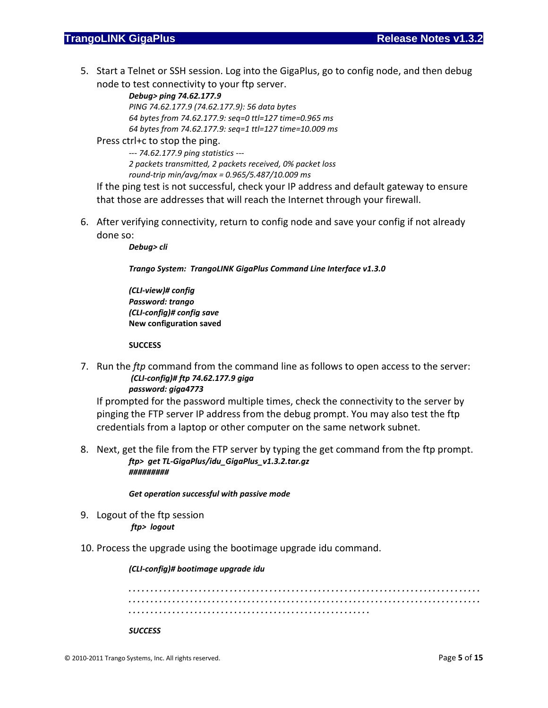5. Start a Telnet or SSH session. Log into the GigaPlus, go to config node, and then debug node to test connectivity to your ftp server.

> *Debug> ping 74.62.177.9 PING 74.62.177.9 (74.62.177.9): 56 data bytes 64 bytes from 74.62.177.9: seq=0 ttl=127 time=0.965 ms 64 bytes from 74.62.177.9: seq=1 ttl=127 time=10.009 ms*

Press ctrl+c to stop the ping.

*--- 74.62.177.9 ping statistics --- 2 packets transmitted, 2 packets received, 0% packet loss round-trip min/avg/max = 0.965/5.487/10.009 ms*

If the ping test is not successful, check your IP address and default gateway to ensure that those are addresses that will reach the Internet through your firewall.

6. After verifying connectivity, return to config node and save your config if not already done so:

*Debug> cli*

*Trango System: TrangoLINK GigaPlus Command Line Interface v1.3.0*

*(CLI-view)# config Password: trango (CLI-config)# config save* **New configuration saved**

#### **SUCCESS**

7. Run the *ftp* command from the command line as follows to open access to the server: *(CLI-config)# ftp 74.62.177.9 giga password: giga4773*

If prompted for the password multiple times, check the connectivity to the server by pinging the FTP server IP address from the debug prompt. You may also test the ftp credentials from a laptop or other computer on the same network subnet.

8. Next, get the file from the FTP server by typing the get command from the ftp prompt. *ftp> get TL-GigaPlus/idu\_GigaPlus\_v1.3.2.tar.gz #########*

#### *Get operation successful with passive mode*

- 9. Logout of the ftp session *ftp> logout*
- 10. Process the upgrade using the bootimage upgrade idu command.

#### *(CLI-config)# bootimage upgrade idu*

*. . . . . . . . . . . . . . . . . . . . . . . . . . . . . . . . . . . . . . . . . . . . . . . . . . . . . . . . . . . . . . . . . . . . . . . . . . . . . . . . . . . . . . . . . . . . . . . . . . . . . . . . . . . . . . . . . . . . . . . . . . . . . . . . . . . . . . . . . . . . . . . . . . . . . . . . . . . . . . . . . . . . . . . . . . . . . . . . . . . . . . . . . . . . . . . . . . . . . . . . . . . . . . . . . . . . . . .* 

#### *SUCCESS*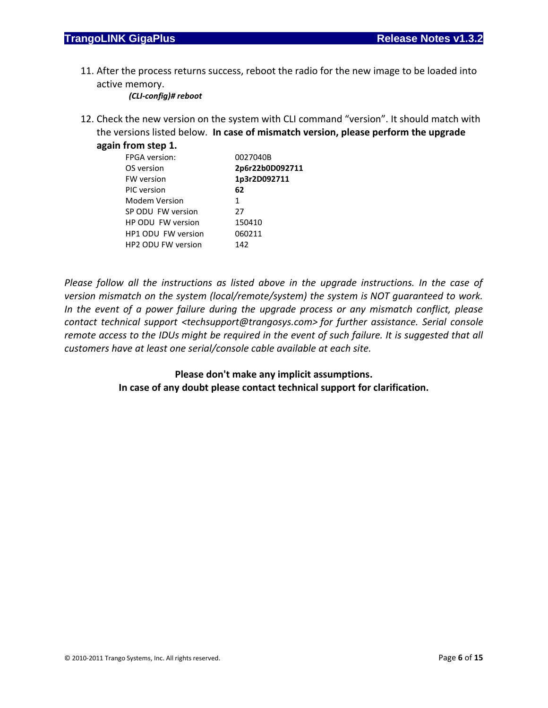11. After the process returns success, reboot the radio for the new image to be loaded into active memory.

*(CLI-config)# reboot*

12. Check the new version on the system with CLI command "version". It should match with the versions listed below. **In case of mismatch version, please perform the upgrade again from step 1.**

| <b>.</b>                  |                 |
|---------------------------|-----------------|
| <b>FPGA</b> version:      | 0027040B        |
| OS version                | 2p6r22b0D092711 |
| <b>FW</b> version         | 1p3r2D092711    |
| PIC version               | 62              |
| <b>Modem Version</b>      | 1               |
| SP ODU FW version         | 27              |
| HP ODU FW version         | 150410          |
| HP1 ODU FW version        | 060211          |
| <b>HP2 ODU FW version</b> | 142             |
|                           |                 |

*Please follow all the instructions as listed above in the upgrade instructions. In the case of version mismatch on the system (local/remote/system) the system is NOT guaranteed to work. In the event of a power failure during the upgrade process or any mismatch conflict, please contact technical support <techsupport@trangosys.com> for further assistance. Serial console remote access to the IDUs might be required in the event of such failure. It is suggested that all customers have at least one serial/console cable available at each site.*

> **Please don't make any implicit assumptions. In case of any doubt please contact technical support for clarification.**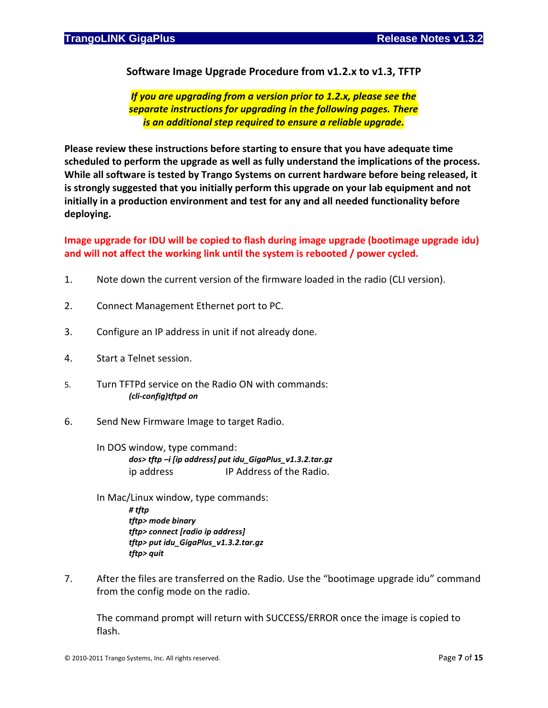**Software Image Upgrade Procedure from v1.2.x to v1.3, TFTP**

*If you are upgrading from a version prior to 1.2.x, please see the separate instructions for upgrading in the following pages. There is an additional step required to ensure a reliable upgrade.*

**Please review these instructions before starting to ensure that you have adequate time scheduled to perform the upgrade as well as fully understand the implications of the process. While all software is tested by Trango Systems on current hardware before being released, it is strongly suggested that you initially perform this upgrade on your lab equipment and not initially in a production environment and test for any and all needed functionality before deploying.**

**Image upgrade for IDU will be copied to flash during image upgrade (bootimage upgrade idu) and will not affect the working link until the system is rebooted / power cycled.**

- 1. Note down the current version of the firmware loaded in the radio (CLI version).
- 2. Connect Management Ethernet port to PC.
- 3. Configure an IP address in unit if not already done.
- 4. Start a Telnet session.
- 5. Turn TFTPd service on the Radio ON with commands: *(cli-config)tftpd on*
- 6. Send New Firmware Image to target Radio.
	- In DOS window, type command: *dos> tftp –i [ip address] put idu\_GigaPlus\_v1.3.2.tar.gz* ip address IP Address of the Radio.
	- In Mac/Linux window, type commands: *# tftp tftp> mode binary tftp> connect [radio ip address] tftp> put idu\_GigaPlus\_v1.3.2.tar.gz tftp> quit*
- 7. After the files are transferred on the Radio. Use the "bootimage upgrade idu" command from the config mode on the radio.

The command prompt will return with SUCCESS/ERROR once the image is copied to flash.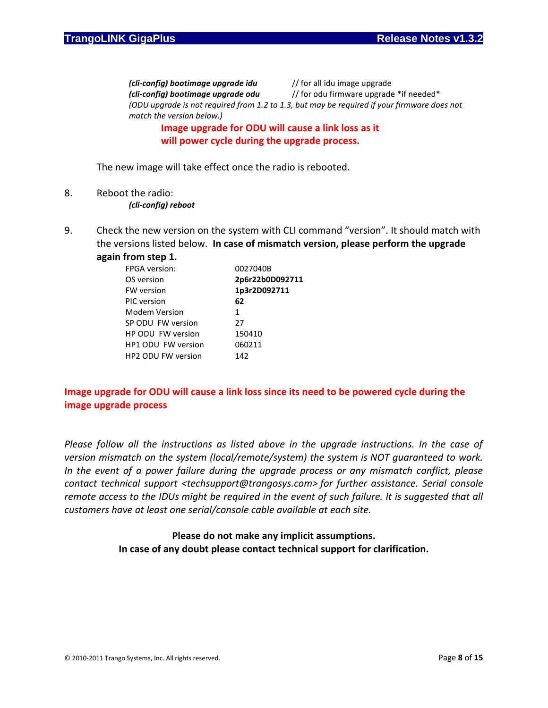*(cli-config) bootimage upgrade idu* // for all idu image upgrade *(cli-config) bootimage upgrade odu* // for odu firmware upgrade \*if needed\* *(ODU upgrade is not required from 1.2 to 1.3, but may be required if your firmware does not match the version below.)*

# **Image upgrade for ODU will cause a link loss as it will power cycle during the upgrade process.**

The new image will take effect once the radio is rebooted.

- 8. Reboot the radio:
	- *(cli-config) reboot*
- 9. Check the new version on the system with CLI command "version". It should match with the versions listed below. **In case of mismatch version, please perform the upgrade**

#### **again from step 1.**

| <b>FPGA</b> version:      | 0027040B        |
|---------------------------|-----------------|
| OS version                | 2p6r22b0D092711 |
| <b>FW</b> version         | 1p3r2D092711    |
| PIC version               | 62              |
| Modem Version             | 1               |
| SP ODU FW version         | 27              |
| HP ODU FW version         | 150410          |
| HP1 ODU FW version        | 060211          |
| <b>HP2 ODU FW version</b> | 142             |

# **Image upgrade for ODU will cause a link loss since its need to be powered cycle during the image upgrade process**

*Please follow all the instructions as listed above in the upgrade instructions. In the case of version mismatch on the system (local/remote/system) the system is NOT guaranteed to work. In the event of a power failure during the upgrade process or any mismatch conflict, please contact technical support <techsupport@trangosys.com> for further assistance. Serial console remote access to the IDUs might be required in the event of such failure. It is suggested that all customers have at least one serial/console cable available at each site.*

## **Please do not make any implicit assumptions. In case of any doubt please contact technical support for clarification.**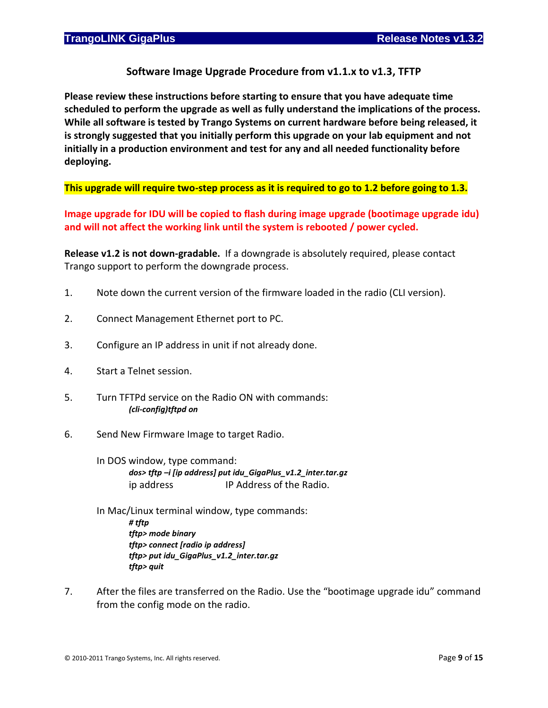# **Software Image Upgrade Procedure from v1.1.x to v1.3, TFTP**

**Please review these instructions before starting to ensure that you have adequate time scheduled to perform the upgrade as well as fully understand the implications of the process. While all software is tested by Trango Systems on current hardware before being released, it is strongly suggested that you initially perform this upgrade on your lab equipment and not initially in a production environment and test for any and all needed functionality before deploying.**

**This upgrade will require two-step process as it is required to go to 1.2 before going to 1.3.**

**Image upgrade for IDU will be copied to flash during image upgrade (bootimage upgrade idu) and will not affect the working link until the system is rebooted / power cycled.**

**Release v1.2 is not down-gradable.** If a downgrade is absolutely required, please contact Trango support to perform the downgrade process.

- 1. Note down the current version of the firmware loaded in the radio (CLI version).
- 2. Connect Management Ethernet port to PC.
- 3. Configure an IP address in unit if not already done.
- 4. Start a Telnet session.
- 5. Turn TFTPd service on the Radio ON with commands: *(cli-config)tftpd on*
- 6. Send New Firmware Image to target Radio.

In DOS window, type command: *dos> tftp –i [ip address] put idu\_GigaPlus\_v1.2\_inter.tar.gz* ip address IP Address of the Radio.

- In Mac/Linux terminal window, type commands: *# tftp tftp> mode binary tftp> connect [radio ip address] tftp> put idu\_GigaPlus\_v1.2\_inter.tar.gz tftp> quit*
- 7. After the files are transferred on the Radio. Use the "bootimage upgrade idu" command from the config mode on the radio.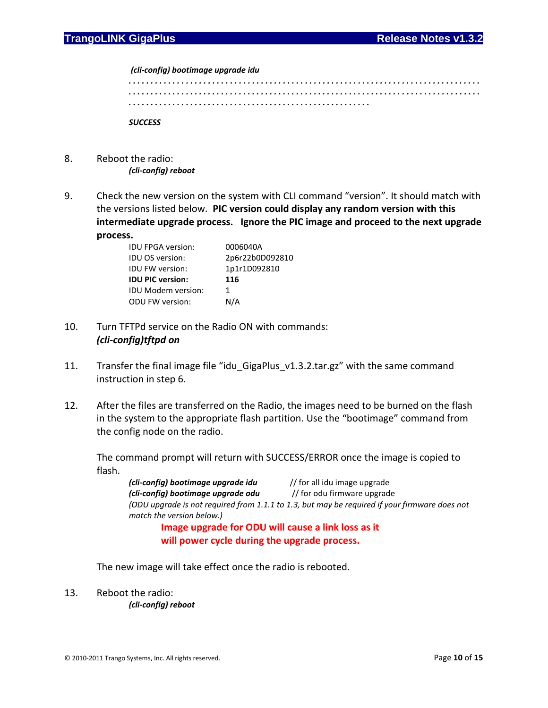*(cli-config) bootimage upgrade idu*

*. . . . . . . . . . . . . . . . . . . . . . . . . . . . . . . . . . . . . . . . . . . . . . . . . . . . . . . . . . . . . . . . . . . . . . . . . . . . . . . . . . . . . . . . . . . . . . . . . . . . . . . . . . . . . . . . . . . . . . . . . . . . . . . . . . . . . . . . . . . . . . . . . . . . . . . . . . . . . . . . . . . . . . . . . . . . . . . . . . . . . . . . . . . . . . . . . . . . . . . . . . . . . . . . . . . . . . .* 

*SUCCESS*

- 8. Reboot the radio: *(cli-config) reboot*
- 9. Check the new version on the system with CLI command "version". It should match with the versions listed below. **PIC version could display any random version with this intermediate upgrade process. Ignore the PIC image and proceed to the next upgrade process.**

| <b>IDU FPGA version:</b>  | 0006040A        |
|---------------------------|-----------------|
| <b>IDU OS version:</b>    | 2p6r22b0D092810 |
| <b>IDU FW version:</b>    | 1p1r1D092810    |
| <b>IDU PIC version:</b>   | 116             |
| <b>IDU Modem version:</b> | 1               |
| <b>ODU FW version:</b>    | N/A             |

- 10. Turn TFTPd service on the Radio ON with commands: *(cli-config)tftpd on*
- 11. Transfer the final image file "idu\_GigaPlus\_v1.3.2.tar.gz" with the same command instruction in step 6.
- 12. After the files are transferred on the Radio, the images need to be burned on the flash in the system to the appropriate flash partition. Use the "bootimage" command from the config node on the radio.

The command prompt will return with SUCCESS/ERROR once the image is copied to flash.

*(cli-config) bootimage upgrade idu* // for all idu image upgrade *(cli-config) bootimage upgrade odu* // for odu firmware upgrade *(ODU upgrade is not required from 1.1.1 to 1.3, but may be required if your firmware does not match the version below.)* **Image upgrade for ODU will cause a link loss as it** 

**will power cycle during the upgrade process.**

The new image will take effect once the radio is rebooted.

13. Reboot the radio: *(cli-config) reboot*

© 2010-2011 Trango Systems, Inc. All rights reserved. Page **10** of **15**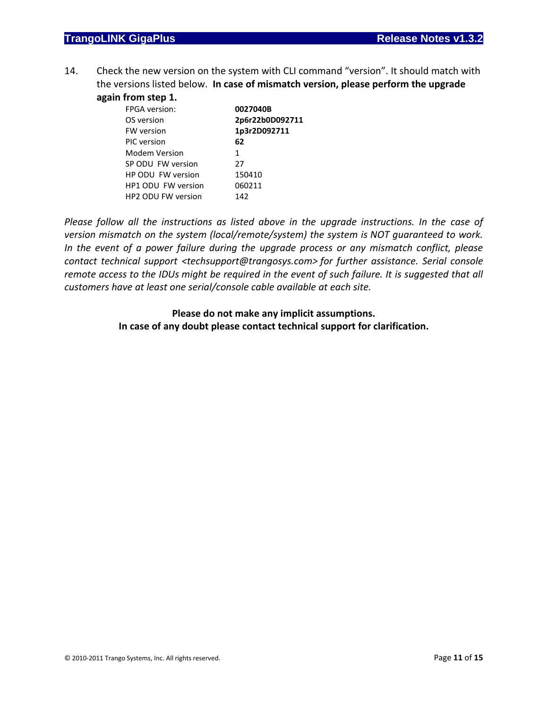14. Check the new version on the system with CLI command "version". It should match with the versions listed below. **In case of mismatch version, please perform the upgrade again from step 1.**

| <b>.</b>             |                 |
|----------------------|-----------------|
| <b>FPGA</b> version: | 0027040B        |
| OS version           | 2p6r22b0D092711 |
| <b>FW</b> version    | 1p3r2D092711    |
| PIC version          | 62              |
| Modem Version        | 1               |
| SP ODU FW version    | 27              |
| HP ODU FW version    | 150410          |
| HP1 ODU FW version   | 060211          |
| HP2 ODU FW version   | 142             |
|                      |                 |

*Please follow all the instructions as listed above in the upgrade instructions. In the case of version mismatch on the system (local/remote/system) the system is NOT guaranteed to work. In the event of a power failure during the upgrade process or any mismatch conflict, please contact technical support <techsupport@trangosys.com> for further assistance. Serial console remote access to the IDUs might be required in the event of such failure. It is suggested that all customers have at least one serial/console cable available at each site.*

## **Please do not make any implicit assumptions. In case of any doubt please contact technical support for clarification.**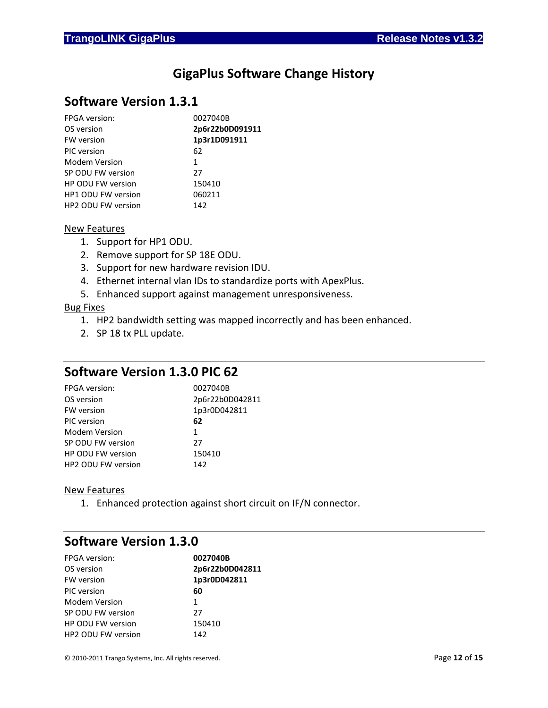# **GigaPlus Software Change History**

# **Software Version 1.3.1**

| <b>FPGA</b> version:      | 0027040B        |
|---------------------------|-----------------|
| OS version                | 2p6r22b0D091911 |
| <b>FW</b> version         | 1p3r1D091911    |
| PIC version               | 62              |
| Modem Version             | 1               |
| SP ODU FW version         | 27              |
| <b>HP ODU FW version</b>  | 150410          |
| <b>HP1 ODU FW version</b> | 060211          |
| <b>HP2 ODU FW version</b> | 142             |
|                           |                 |

#### New Features

- 1. Support for HP1 ODU.
- 2. Remove support for SP 18E ODU.
- 3. Support for new hardware revision IDU.
- 4. Ethernet internal vlan IDs to standardize ports with ApexPlus.
- 5. Enhanced support against management unresponsiveness.

#### Bug Fixes

- 1. HP2 bandwidth setting was mapped incorrectly and has been enhanced.
- 2. SP 18 tx PLL update.

# **Software Version 1.3.0 PIC 62**

| <b>FPGA</b> version:     | 0027040B        |
|--------------------------|-----------------|
| OS version               | 2p6r22b0D042811 |
| <b>FW</b> version        | 1p3r0D042811    |
| PIC version              | 62              |
| Modem Version            | 1               |
| SP ODU FW version        | 27              |
| <b>HP ODU FW version</b> | 150410          |
| HP2 ODU FW version       | 142             |

### New Features

1. Enhanced protection against short circuit on IF/N connector.

# **Software Version 1.3.0**

| <b>FPGA</b> version:     | 0027040B        |
|--------------------------|-----------------|
| OS version               | 2p6r22b0D042811 |
| <b>FW</b> version        | 1p3r0D042811    |
| PIC version              | 60              |
| Modem Version            | 1               |
| SP ODU FW version        | 27              |
| <b>HP ODU FW version</b> | 150410          |
| HP2 ODU FW version       | 142             |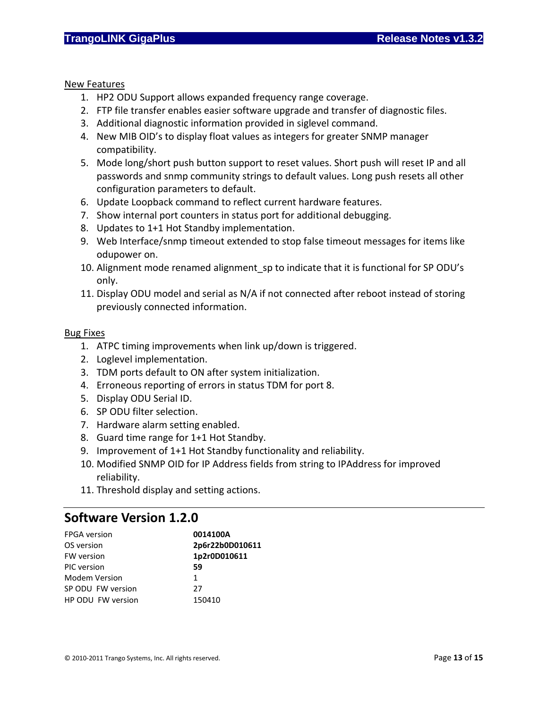New Features

- 1. HP2 ODU Support allows expanded frequency range coverage.
- 2. FTP file transfer enables easier software upgrade and transfer of diagnostic files.
- 3. Additional diagnostic information provided in siglevel command.
- 4. New MIB OID's to display float values as integers for greater SNMP manager compatibility.
- 5. Mode long/short push button support to reset values. Short push will reset IP and all passwords and snmp community strings to default values. Long push resets all other configuration parameters to default.
- 6. Update Loopback command to reflect current hardware features.
- 7. Show internal port counters in status port for additional debugging.
- 8. Updates to 1+1 Hot Standby implementation.
- 9. Web Interface/snmp timeout extended to stop false timeout messages for items like odupower on.
- 10. Alignment mode renamed alignment sp to indicate that it is functional for SP ODU's only.
- 11. Display ODU model and serial as N/A if not connected after reboot instead of storing previously connected information.

## Bug Fixes

- 1. ATPC timing improvements when link up/down is triggered.
- 2. Loglevel implementation.
- 3. TDM ports default to ON after system initialization.
- 4. Erroneous reporting of errors in status TDM for port 8.
- 5. Display ODU Serial ID.
- 6. SP ODU filter selection.
- 7. Hardware alarm setting enabled.
- 8. Guard time range for 1+1 Hot Standby.
- 9. Improvement of 1+1 Hot Standby functionality and reliability.
- 10. Modified SNMP OID for IP Address fields from string to IPAddress for improved reliability.
- 11. Threshold display and setting actions.

# **Software Version 1.2.0**

| <b>FPGA</b> version | 0014100A        |
|---------------------|-----------------|
| OS version          | 2p6r22b0D010611 |
| <b>FW</b> version   | 1p2r0D010611    |
| PIC version         | 59              |
| Modem Version       | 1.              |
| SP ODU FW version   | 27              |
| HP ODU FW version   | 150410          |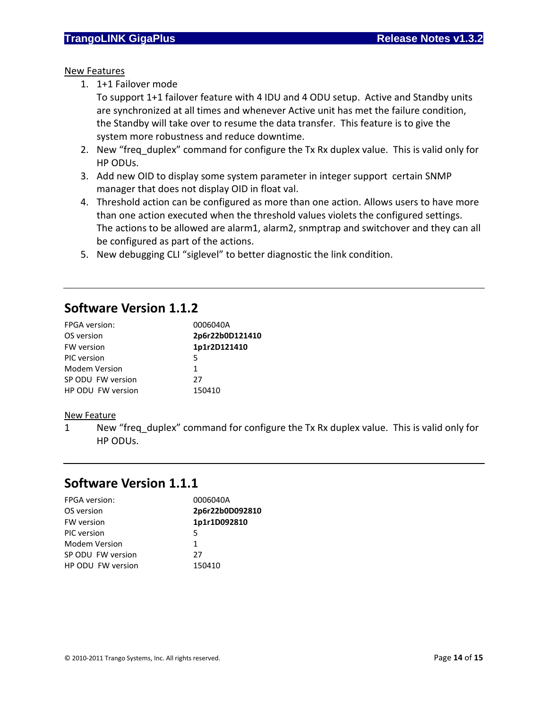## New Features

1. 1+1 Failover mode

To support 1+1 failover feature with 4 IDU and 4 ODU setup. Active and Standby units are synchronized at all times and whenever Active unit has met the failure condition, the Standby will take over to resume the data transfer. This feature is to give the system more robustness and reduce downtime.

- 2. New "freq duplex" command for configure the Tx Rx duplex value. This is valid only for HP ODUs.
- 3. Add new OID to display some system parameter in integer support certain SNMP manager that does not display OID in float val.
- 4. Threshold action can be configured as more than one action. Allows users to have more than one action executed when the threshold values violets the configured settings. The actions to be allowed are alarm1, alarm2, snmptrap and switchover and they can all be configured as part of the actions.
- 5. New debugging CLI "siglevel" to better diagnostic the link condition.

# **Software Version 1.1.2**

| <b>FPGA</b> version: | 0006040A        |
|----------------------|-----------------|
| OS version           | 2p6r22b0D121410 |
| <b>FW</b> version    | 1p1r2D121410    |
| PIC version          | 5               |
| Modem Version        | 1               |
| SP ODU FW version    | 27              |
| HP ODU FW version    | 150410          |

### New Feature

1 New "freq\_duplex" command for configure the Tx Rx duplex value. This is valid only for HP ODUs.

# **Software Version 1.1.1**

| <b>FPGA</b> version: | 0006040A        |
|----------------------|-----------------|
| OS version           | 2p6r22b0D092810 |
| <b>FW</b> version    | 1p1r1D092810    |
| PIC version          | 5               |
| Modem Version        | 1               |
| SP ODU FW version    | 27              |
| HP ODU FW version    | 150410          |